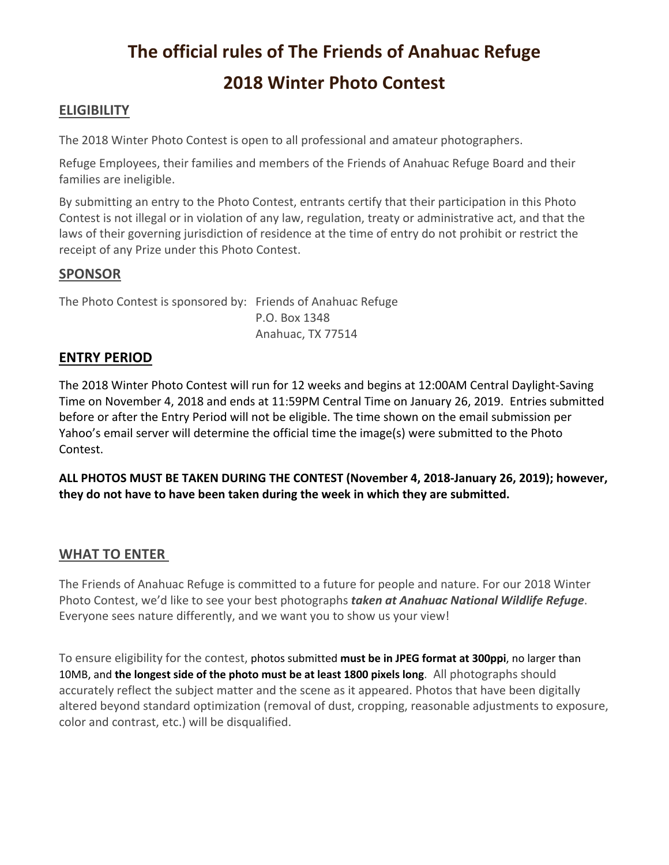# **The official rules of The Friends of Anahuac Refuge 2018 Winter Photo Contest**

# **ELIGIBILITY**

The 2018 Winter Photo Contest is open to all professional and amateur photographers.

Refuge Employees, their families and members of the Friends of Anahuac Refuge Board and their families are ineligible.

By submitting an entry to the Photo Contest, entrants certify that their participation in this Photo Contest is not illegal or in violation of any law, regulation, treaty or administrative act, and that the laws of their governing jurisdiction of residence at the time of entry do not prohibit or restrict the receipt of any Prize under this Photo Contest.

## **SPONSOR**

The Photo Contest is sponsored by: Friends of Anahuac Refuge P.O. Box 1348 Anahuac, TX 77514

#### **ENTRY PERIOD**

The 2018 Winter Photo Contest will run for 12 weeks and begins at 12:00AM Central Daylight-Saving Time on November 4, 2018 and ends at 11:59PM Central Time on January 26, 2019. Entries submitted before or after the Entry Period will not be eligible. The time shown on the email submission per Yahoo's email server will determine the official time the image(s) were submitted to the Photo Contest.

**ALL PHOTOS MUST BE TAKEN DURING THE CONTEST (November 4, 2018-January 26, 2019); however, they do not have to have been taken during the week in which they are submitted.**

## **WHAT TO ENTER**

The Friends of Anahuac Refuge is committed to a future for people and nature. For our 2018 Winter Photo Contest, we'd like to see your best photographs *taken at Anahuac National Wildlife Refuge*. Everyone sees nature differently, and we want you to show us your view!

To ensure eligibility for the contest, photos submitted **must be in JPEG format at 300ppi**, no larger than 10MB, and **the longest side of the photo must be at least 1800 pixels long**. All photographs should accurately reflect the subject matter and the scene as it appeared. Photos that have been digitally altered beyond standard optimization (removal of dust, cropping, reasonable adjustments to exposure, color and contrast, etc.) will be disqualified.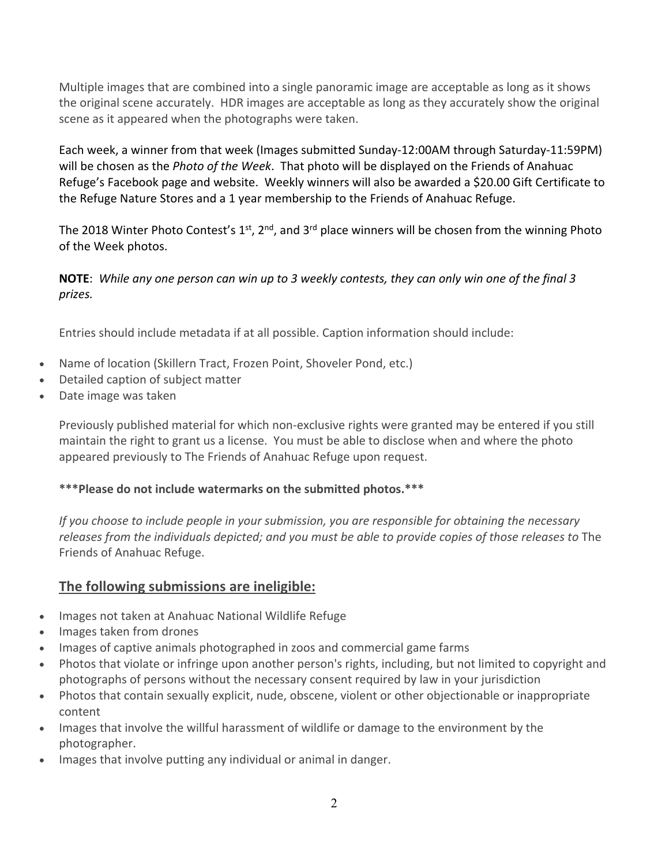Multiple images that are combined into a single panoramic image are acceptable as long as it shows the original scene accurately. HDR images are acceptable as long as they accurately show the original scene as it appeared when the photographs were taken.

Each week, a winner from that week (Images submitted Sunday-12:00AM through Saturday-11:59PM) will be chosen as the *Photo of the Week*. That photo will be displayed on the Friends of Anahuac Refuge's Facebook page and website. Weekly winners will also be awarded a \$20.00 Gift Certificate to the Refuge Nature Stores and a 1 year membership to the Friends of Anahuac Refuge.

The 2018 Winter Photo Contest's  $1^{st}$ ,  $2^{nd}$ , and  $3^{rd}$  place winners will be chosen from the winning Photo of the Week photos.

#### **NOTE**: *While any one person can win up to 3 weekly contests, they can only win one of the final 3 prizes.*

Entries should include metadata if at all possible. Caption information should include:

- Name of location (Skillern Tract, Frozen Point, Shoveler Pond, etc.)
- Detailed caption of subject matter
- Date image was taken

Previously published material for which non-exclusive rights were granted may be entered if you still maintain the right to grant us a license. You must be able to disclose when and where the photo appeared previously to The Friends of Anahuac Refuge upon request.

## **\*\*\*Please do not include watermarks on the submitted photos.\*\*\***

*If you choose to include people in your submission, you are responsible for obtaining the necessary releases from the individuals depicted; and you must be able to provide copies of those releases to* The Friends of Anahuac Refuge.

## **The following submissions are ineligible:**

- Images not taken at Anahuac National Wildlife Refuge
- Images taken from drones
- Images of captive animals photographed in zoos and commercial game farms
- Photos that violate or infringe upon another person's rights, including, but not limited to copyright and photographs of persons without the necessary consent required by law in your jurisdiction
- Photos that contain sexually explicit, nude, obscene, violent or other objectionable or inappropriate content
- Images that involve the willful harassment of wildlife or damage to the environment by the photographer.
- Images that involve putting any individual or animal in danger.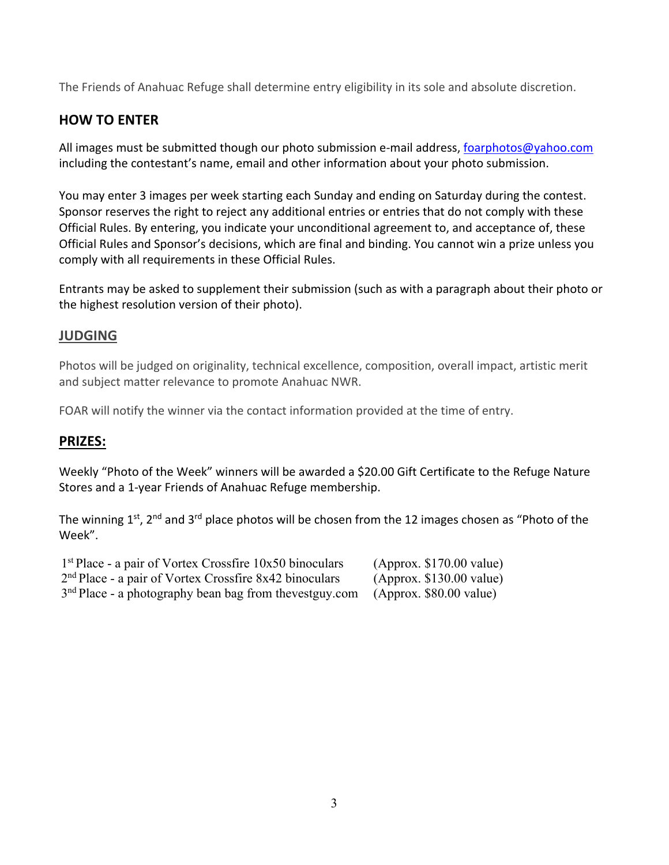The Friends of Anahuac Refuge shall determine entry eligibility in its sole and absolute discretion.

# **HOW TO ENTER**

All images must be submitted though our photo submission e-mail address, foarphotos@yahoo.com including the contestant's name, email and other information about your photo submission.

You may enter 3 images per week starting each Sunday and ending on Saturday during the contest. Sponsor reserves the right to reject any additional entries or entries that do not comply with these Official Rules. By entering, you indicate your unconditional agreement to, and acceptance of, these Official Rules and Sponsor's decisions, which are final and binding. You cannot win a prize unless you comply with all requirements in these Official Rules.

Entrants may be asked to supplement their submission (such as with a paragraph about their photo or the highest resolution version of their photo).

## **JUDGING**

Photos will be judged on originality, technical excellence, composition, overall impact, artistic merit and subject matter relevance to promote Anahuac NWR.

FOAR will notify the winner via the contact information provided at the time of entry.

## **PRIZES:**

Weekly "Photo of the Week" winners will be awarded a \$20.00 Gift Certificate to the Refuge Nature Stores and a 1-year Friends of Anahuac Refuge membership.

The winning  $1^{st}$ , 2<sup>nd</sup> and 3<sup>rd</sup> place photos will be chosen from the 12 images chosen as "Photo of the Week".

| $1st$ Place - a pair of Vortex Crossfire 10x50 binoculars  | (Approx. \$170.00 value) |
|------------------------------------------------------------|--------------------------|
| $2nd$ Place - a pair of Vortex Crossfire 8x42 binoculars   | (Approx. \$130.00 value) |
| $3nd$ Place - a photography bean bag from the vest guy.com | (Approx. \$80.00 value)  |